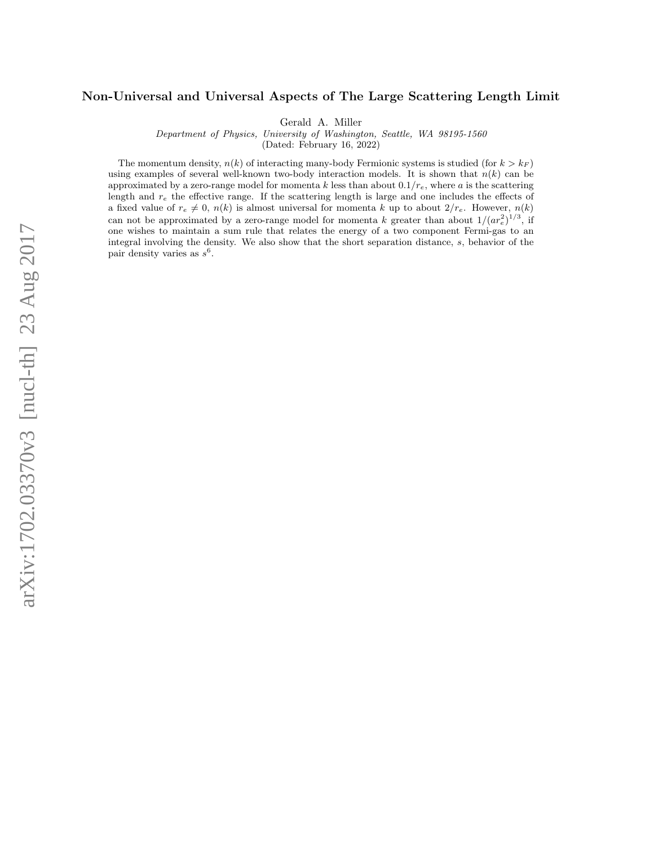## Non-Universal and Universal Aspects of The Large Scattering Length Limit

Gerald A. Miller

Department of Physics, University of Washington, Seattle, WA 98195-1560

(Dated: February 16, 2022)

The momentum density,  $n(k)$  of interacting many-body Fermionic systems is studied (for  $k > k_F$ ) using examples of several well-known two-body interaction models. It is shown that  $n(k)$  can be approximated by a zero-range model for momenta k less than about  $0.1/r_e$ , where a is the scattering length and  $r_e$  the effective range. If the scattering length is large and one includes the effects of a fixed value of  $r_e \neq 0$ ,  $n(k)$  is almost universal for momenta k up to about  $2/r_e$ . However,  $n(k)$ can not be approximated by a zero-range model for momenta k greater than about  $1/(ar_e^2)^{1/3}$ , if one wishes to maintain a sum rule that relates the energy of a two component Fermi-gas to an integral involving the density. We also show that the short separation distance, s, behavior of the pair density varies as  $s^6$ .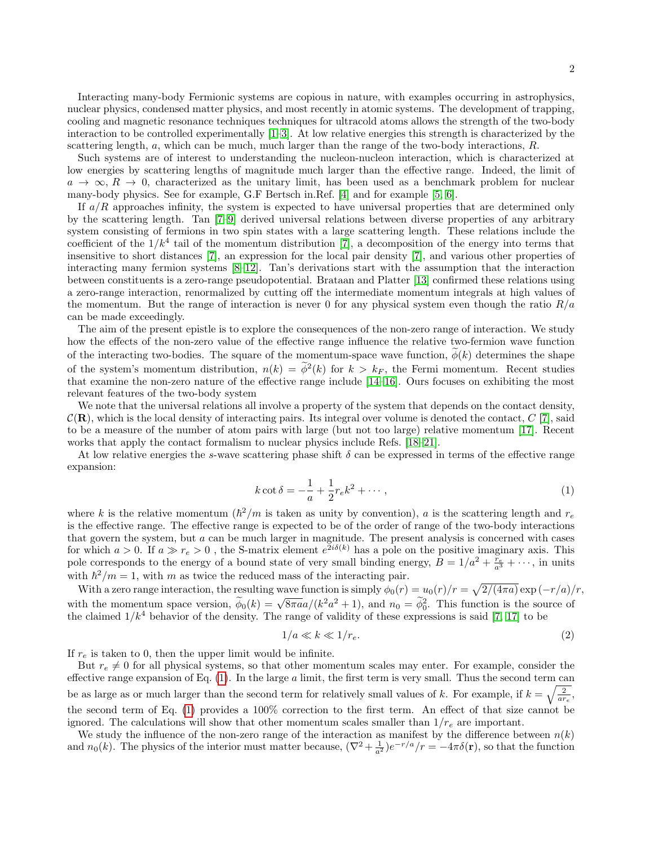Interacting many-body Fermionic systems are copious in nature, with examples occurring in astrophysics, nuclear physics, condensed matter physics, and most recently in atomic systems. The development of trapping, cooling and magnetic resonance techniques techniques for ultracold atoms allows the strength of the two-body interaction to be controlled experimentally [\[1–](#page-8-0)[3\]](#page-8-1). At low relative energies this strength is characterized by the scattering length,  $a$ , which can be much, much larger than the range of the two-body interactions,  $R$ .

Such systems are of interest to understanding the nucleon-nucleon interaction, which is characterized at low energies by scattering lengths of magnitude much larger than the effective range. Indeed, the limit of  $a \to \infty$ ,  $R \to 0$ , characterized as the unitary limit, has been used as a benchmark problem for nuclear many-body physics. See for example, G.F Bertsch in.Ref. [\[4\]](#page-8-2) and for example [\[5,](#page-8-3) [6\]](#page-8-4).

If  $a/R$  approaches infinity, the system is expected to have universal properties that are determined only by the scattering length. Tan [\[7–](#page-8-5)[9\]](#page-8-6) derived universal relations between diverse properties of any arbitrary system consisting of fermions in two spin states with a large scattering length. These relations include the coefficient of the  $1/k<sup>4</sup>$  tail of the momentum distribution [\[7\]](#page-8-5), a decomposition of the energy into terms that insensitive to short distances [\[7\]](#page-8-5), an expression for the local pair density [\[7\]](#page-8-5), and various other properties of interacting many fermion systems [\[8–](#page-8-7)[12\]](#page-8-8). Tan's derivations start with the assumption that the interaction between constituents is a zero-range pseudopotential. Brataan and Platter [\[13\]](#page-8-9) confirmed these relations using a zero-range interaction, renormalized by cutting off the intermediate momentum integrals at high values of the momentum. But the range of interaction is never 0 for any physical system even though the ratio  $R/a$ can be made exceedingly.

The aim of the present epistle is to explore the consequences of the non-zero range of interaction. We study how the effects of the non-zero value of the effective range influence the relative two-fermion wave function of the interacting two-bodies. The square of the momentum-space wave function,  $\phi(k)$  determines the shape of the system's momentum distribution,  $n(k) = \phi^2(k)$  for  $k > k_F$ , the Fermi momentum. Recent studies that examine the non-zero nature of the effective range include [\[14–](#page-8-10)[16\]](#page-8-11). Ours focuses on exhibiting the most relevant features of the two-body system

We note that the universal relations all involve a property of the system that depends on the contact density,  $\mathcal{C}(\mathbf{R})$ , which is the local density of interacting pairs. Its integral over volume is denoted the contact,  $C$  [\[7\]](#page-8-5), said to be a measure of the number of atom pairs with large (but not too large) relative momentum [\[17\]](#page-8-12). Recent works that apply the contact formalism to nuclear physics include Refs. [\[18–](#page-8-13)[21\]](#page-8-14).

At low relative energies the s-wave scattering phase shift  $\delta$  can be expressed in terms of the effective range expansion:

<span id="page-1-0"></span>
$$
k \cot \delta = -\frac{1}{a} + \frac{1}{2}r_e k^2 + \dotsb,
$$
\n(1)

where k is the relative momentum  $(\hbar^2/m)$  is taken as unity by convention), a is the scattering length and  $r_e$ is the effective range. The effective range is expected to be of the order of range of the two-body interactions that govern the system, but a can be much larger in magnitude. The present analysis is concerned with cases for which  $a > 0$ . If  $a \gg r_e > 0$ , the S-matrix element  $e^{2i\delta(k)}$  has a pole on the positive imaginary axis. This pole corresponds to the energy of a bound state of very small binding energy,  $\overline{B} = 1/a^2 + \frac{\overline{r}_e}{a^3} + \cdots$ , in units with  $\hbar^2/m = 1$ , with m as twice the reduced mass of the interacting pair.

With a zero range interaction, the resulting wave function is simply  $\phi_0(r) = u_0(r)/r = \sqrt{2/(4\pi a)} \exp(-r/a)/r$ , with the momentum space version,  $\tilde{\phi}_0(k) = \sqrt{8\pi a a}/(k^2 a^2 + 1)$ , and  $n_0 = \tilde{\phi}_0^2$ . This function is the source of the claimed  $1/k^4$  behavior of the density. The range of validity of these expressions is said [\[7,](#page-8-5) [17\]](#page-8-12) to be

<span id="page-1-1"></span>
$$
1/a \ll k \ll 1/r_e. \tag{2}
$$

If  $r_e$  is taken to 0, then the upper limit would be infinite.

But  $r_e \neq 0$  for all physical systems, so that other momentum scales may enter. For example, consider the effective range expansion of Eq.  $(1)$ . In the large a limit, the first term is very small. Thus the second term can be as large as or much larger than the second term for relatively small values of k. For example, if  $k = \sqrt{\frac{2}{ar_e}}$ , the second term of Eq. [\(1\)](#page-1-0) provides a 100% correction to the first term. An effect of that size cannot be ignored. The calculations will show that other momentum scales smaller than  $1/r_e$  are important.

We study the influence of the non-zero range of the interaction as manifest by the difference between  $n(k)$ and  $n_0(k)$ . The physics of the interior must matter because,  $(\nabla^2 + \frac{1}{a^2})e^{-r/a}/r = -4\pi\delta(\mathbf{r})$ , so that the function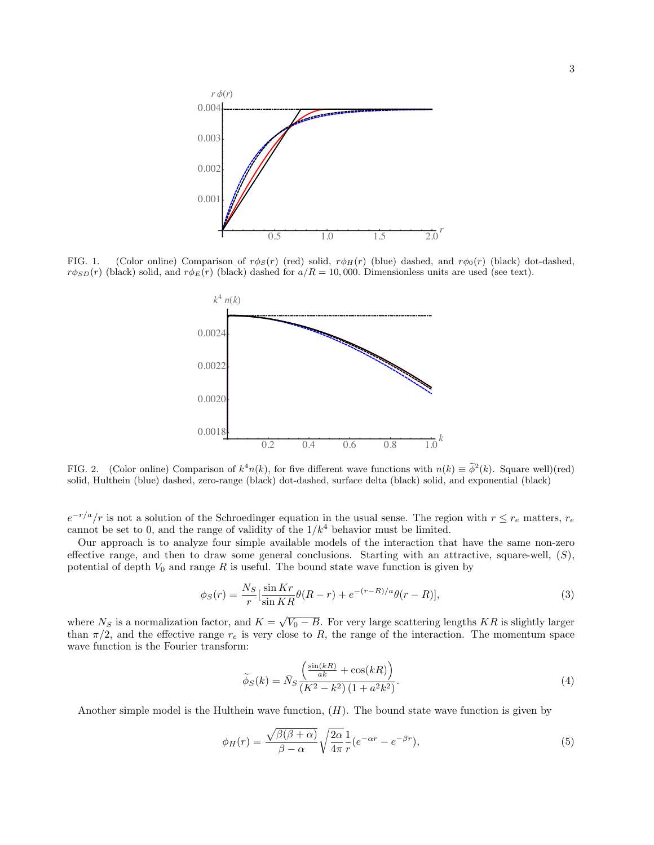

<span id="page-2-0"></span>FIG. 1. (Color online) Comparison of  $r\phi_S(r)$  (red) solid,  $r\phi_H(r)$  (blue) dashed, and  $r\phi_0(r)$  (black) dot-dashed,  $r\phi_{SD}(r)$  (black) solid, and  $r\phi_E(r)$  (black) dashed for  $a/R = 10,000$ . Dimensionless units are used (see text).



FIG. 2. (Color online) Comparison of  $k^4n(k)$ , for five different wave functions with  $n(k) \equiv \tilde{\phi}^2(k)$ . Square well)(red) solid, Hulthein (blue) dashed, zero-range (black) dot-dashed, surface delta (black) solid, and exponential (black)

 $e^{-r/a}/r$  is not a solution of the Schroedinger equation in the usual sense. The region with  $r \le r_e$  matters,  $r_e$ cannot be set to 0, and the range of validity of the  $1/k<sup>4</sup>$  behavior must be limited.

Our approach is to analyze four simple available models of the interaction that have the same non-zero effective range, and then to draw some general conclusions. Starting with an attractive, square-well,  $(S)$ , potential of depth  $V_0$  and range R is useful. The bound state wave function is given by

$$
\phi_S(r) = \frac{N_S}{r} \left[ \frac{\sin Kr}{\sin KR} \theta(R-r) + e^{-(r-R)/a} \theta(r-R) \right],\tag{3}
$$

where  $N_S$  is a normalization factor, and  $K = \sqrt{V_0 - B}$ . For very large scattering lengths KR is slightly larger than  $\pi/2$ , and the effective range  $r_e$  is very close to R, the range of the interaction. The momentum space wave function is the Fourier transform:

$$
\widetilde{\phi}_S(k) = \bar{N}_S \frac{\left(\frac{\sin(kR)}{ak} + \cos(kR)\right)}{\left(K^2 - k^2\right)\left(1 + a^2 k^2\right)}.
$$
\n(4)

Another simple model is the Hulthein wave function,  $(H)$ . The bound state wave function is given by

$$
\phi_H(r) = \frac{\sqrt{\beta(\beta + \alpha)}}{\beta - \alpha} \sqrt{\frac{2\alpha}{4\pi}} \frac{1}{r} (e^{-\alpha r} - e^{-\beta r}),\tag{5}
$$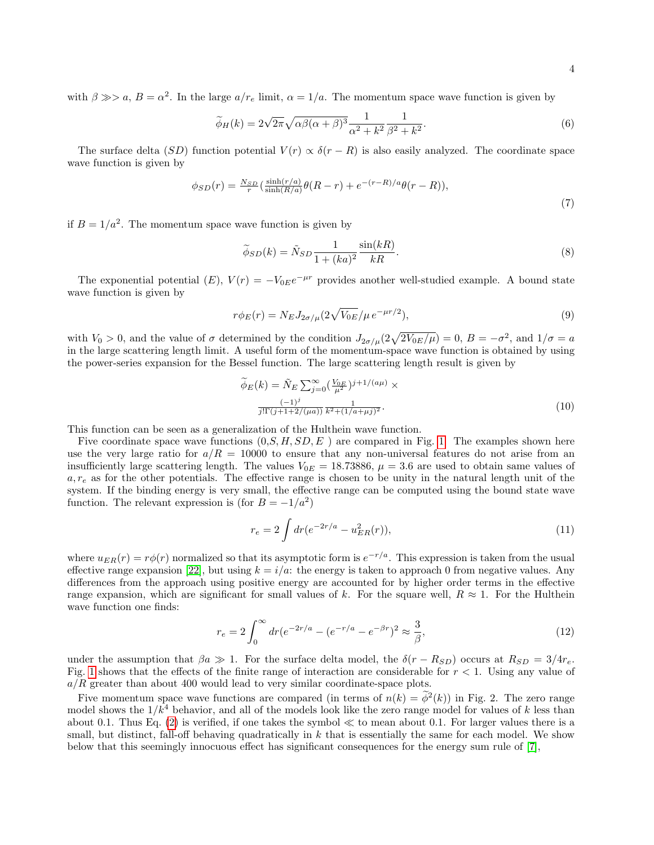with  $\beta \gg a$ ,  $B = \alpha^2$ . In the large  $a/r_e$  limit,  $\alpha = 1/a$ . The momentum space wave function is given by

$$
\widetilde{\phi}_H(k) = 2\sqrt{2\pi}\sqrt{\alpha\beta(\alpha+\beta)^3} \frac{1}{\alpha^2+k^2} \frac{1}{\beta^2+k^2}.
$$
\n(6)

The surface delta (SD) function potential  $V(r) \propto \delta(r - R)$  is also easily analyzed. The coordinate space wave function is given by

$$
\phi_{SD}(r) = \frac{N_{SD}}{r} \left( \frac{\sinh(r/a)}{\sinh(R/a)} \theta(R-r) + e^{-(r-R)/a} \theta(r-R) \right),\tag{7}
$$

if  $B = 1/a^2$ . The momentum space wave function is given by

$$
\widetilde{\phi}_{SD}(k) = \widetilde{N}_{SD} \frac{1}{1 + (ka)^2} \frac{\sin(kR)}{kR}.
$$
\n(8)

The exponential potential  $(E)$ ,  $V(r) = -V_{0E}e^{-\mu r}$  provides another well-studied example. A bound state wave function is given by

$$
r\phi_E(r) = N_E J_{2\sigma/\mu} (2\sqrt{V_{0E}}/\mu \, e^{-\mu r/2}),\tag{9}
$$

with  $V_0 > 0$ , and the value of  $\sigma$  determined by the condition  $J_{2\sigma/\mu}(2\sqrt{2V_{0E}/\mu}) = 0$ ,  $B = -\sigma^2$ , and  $1/\sigma = a$ in the large scattering length limit. A useful form of the momentum-space wave function is obtained by using the power-series expansion for the Bessel function. The large scattering length result is given by

$$
\widetilde{\phi}_E(k) = \widetilde{N}_E \sum_{j=0}^{\infty} \left( \frac{V_{0E}}{\mu^2} \right)^{j+1/(a\mu)} \times \frac{(-1)^j}{j!\Gamma(j+1+2/(a\mu))} \frac{1}{k^2 + (1/a + \mu j)^2}.
$$
\n(10)

This function can be seen as a generalization of the Hulthein wave function.

Five coordinate space wave functions  $(0, S, H, SD, E)$  are compared in Fig. [1.](#page-2-0) The examples shown here use the very large ratio for  $a/R = 10000$  to ensure that any non-universal features do not arise from an insufficiently large scattering length. The values  $V_{0E} = 18.73886$ ,  $\mu = 3.6$  are used to obtain same values of  $a, r_e$  as for the other potentials. The effective range is chosen to be unity in the natural length unit of the system. If the binding energy is very small, the effective range can be computed using the bound state wave function. The relevant expression is (for  $B = -1/a^2$ )

$$
r_e = 2 \int dr (e^{-2r/a} - u_{ER}^2(r)), \tag{11}
$$

where  $u_{ER}(r) = r\phi(r)$  normalized so that its asymptotic form is  $e^{-r/a}$ . This expression is taken from the usual effective range expansion [\[22\]](#page-8-15), but using  $k = i/a$ : the energy is taken to approach 0 from negative values. Any differences from the approach using positive energy are accounted for by higher order terms in the effective range expansion, which are significant for small values of k. For the square well,  $R \approx 1$ . For the Hulthein wave function one finds:

$$
r_e = 2 \int_0^\infty dr (e^{-2r/a} - (e^{-r/a} - e^{-\beta r})^2 \approx \frac{3}{\beta},\tag{12}
$$

under the assumption that  $\beta a \gg 1$ . For the surface delta model, the  $\delta(r - R_{SD})$  occurs at  $R_{SD} = 3/4r_e$ . Fig. [1](#page-2-0) shows that the effects of the finite range of interaction are considerable for  $r < 1$ . Using any value of  $a/R$  greater than about 400 would lead to very similar coordinate-space plots.

Five momentum space wave functions are compared (in terms of  $n(k) = \tilde{\phi}^2(k)$ ) in Fig. 2. The zero range model shows the  $1/k<sup>4</sup>$  behavior, and all of the models look like the zero range model for values of k less than about 0.1. Thus Eq.  $(2)$  is verified, if one takes the symbol  $\ll$  to mean about 0.1. For larger values there is a small, but distinct, fall-off behaving quadratically in  $k$  that is essentially the same for each model. We show below that this seemingly innocuous effect has significant consequences for the energy sum rule of [\[7\]](#page-8-5),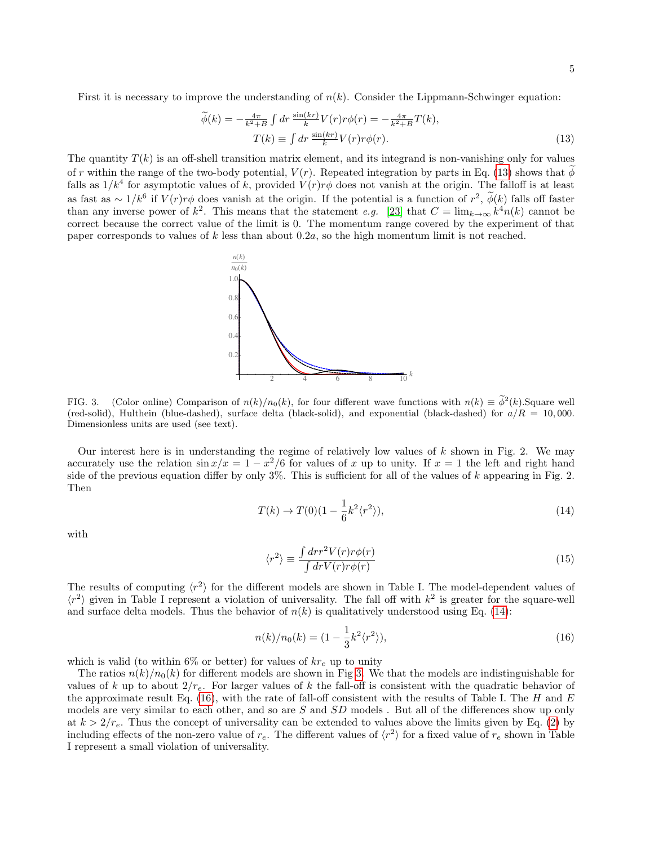First it is necessary to improve the understanding of  $n(k)$ . Consider the Lippmann-Schwinger equation:

<span id="page-4-0"></span>
$$
\widetilde{\phi}(k) = -\frac{4\pi}{k^2 + B} \int dr \, \frac{\sin(kr)}{k} V(r) r\phi(r) = -\frac{4\pi}{k^2 + B} T(k),
$$
\n
$$
T(k) \equiv \int dr \, \frac{\sin(kr)}{k} V(r) r\phi(r).
$$
\n(13)

The quantity  $T(k)$  is an off-shell transition matrix element, and its integrand is non-vanishing only for values of r within the range of the two-body potential,  $V(r)$ . Repeated integration by parts in Eq. [\(13\)](#page-4-0) shows that  $\phi$ falls as  $1/k^4$  for asymptotic values of k, provided  $V(r)r\phi$  does not vanish at the origin. The falloff is at least as fast as ∼  $1/k^6$  if  $V(r)r\phi$  does vanish at the origin. If the potential is a function of  $r^2$ ,  $\phi(k)$  falls off faster than any inverse power of  $k^2$ . This means that the statement e.g. [\[23\]](#page-8-16) that  $C = \lim_{k \to \infty} k^4 n(k)$  cannot be correct because the correct value of the limit is 0. The momentum range covered by the experiment of that paper corresponds to values of k less than about  $0.2a$ , so the high momentum limit is not reached.



<span id="page-4-2"></span>FIG. 3. (Color online) Comparison of  $n(k)/n_0(k)$ , for four different wave functions with  $n(k) \equiv \tilde{\phi}^2(k)$ . Square well (red-solid), Hulthein (blue-dashed), surface delta (black-solid), and exponential (black-dashed) for  $a/R = 10,000$ . Dimensionless units are used (see text).

Our interest here is in understanding the regime of relatively low values of  $k$  shown in Fig. 2. We may accurately use the relation  $\sin x/x = 1 - x^2/6$  for values of x up to unity. If  $x = 1$  the left and right hand side of the previous equation differ by only  $3\%$ . This is sufficient for all of the values of k appearing in Fig. 2. Then

<span id="page-4-1"></span>
$$
T(k) \to T(0)(1 - \frac{1}{6}k^2 \langle r^2 \rangle), \tag{14}
$$

with

$$
\langle r^2 \rangle \equiv \frac{\int dr r^2 V(r) r \phi(r)}{\int dr V(r) r \phi(r)} \tag{15}
$$

The results of computing  $\langle r^2 \rangle$  for the different models are shown in Table I. The model-dependent values of  $\langle r^2 \rangle$  given in Table I represent a violation of universality. The fall off with  $k^2$  is greater for the square-well and surface delta models. Thus the behavior of  $n(k)$  is qualitatively understood using Eq. [\(14\)](#page-4-1):

<span id="page-4-3"></span>
$$
n(k)/n_0(k) = (1 - \frac{1}{3}k^2 \langle r^2 \rangle), \tag{16}
$$

which is valid (to within 6% or better) for values of  $kr_e$  up to unity

The ratios  $n(k)/n_0(k)$  for different models are shown in Fig [3.](#page-4-2) We that the models are indistinguishable for values of k up to about  $2/r_e$ . For larger values of k the fall-off is consistent with the quadratic behavior of the approximate result Eq. [\(16\)](#page-4-3), with the rate of fall-off consistent with the results of Table I. The H and  $E$ models are very similar to each other, and so are  $S$  and  $SD$  models. But all of the differences show up only at  $k > 2/r_e$ . Thus the concept of universality can be extended to values above the limits given by Eq. [\(2\)](#page-1-1) by including effects of the non-zero value of  $r_e$ . The different values of  $\langle r^2 \rangle$  for a fixed value of  $r_e$  shown in Table I represent a small violation of universality.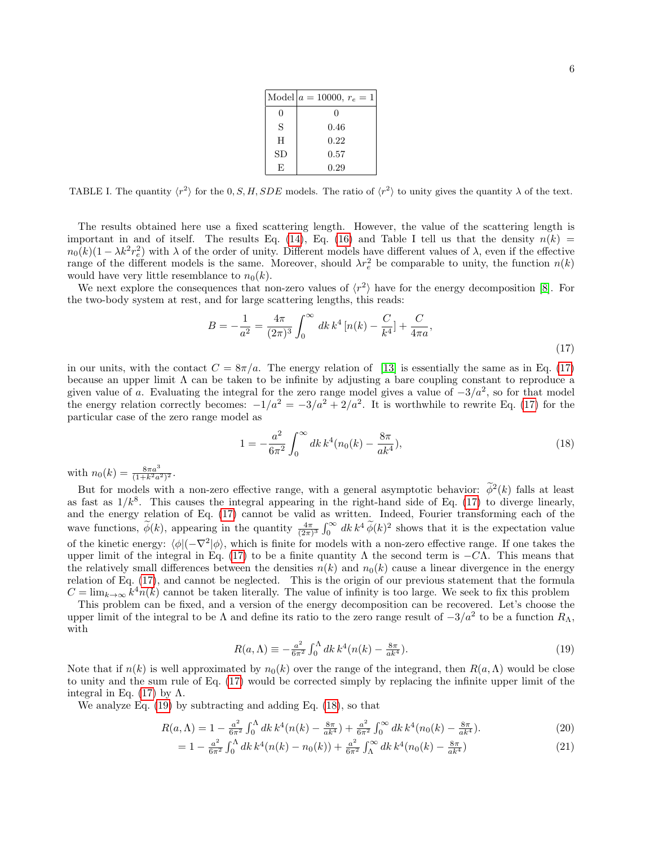|    | Model $a = 10000, r_e = 1$ |
|----|----------------------------|
| 0  | $\mathbf{0}$               |
| S  | 0.46                       |
| H  | 0.22                       |
| SD | 0.57                       |
| F. | 0.29                       |

TABLE I. The quantity  $\langle r^2 \rangle$  for the 0, S, H, SDE models. The ratio of  $\langle r^2 \rangle$  to unity gives the quantity  $\lambda$  of the text.

The results obtained here use a fixed scattering length. However, the value of the scattering length is important in and of itself. The results Eq. [\(14\)](#page-4-1), Eq. [\(16\)](#page-4-3) and Table I tell us that the density  $n(k)$  $n_0(k)(1 - \lambda k^2 r_e^2)$  with  $\lambda$  of the order of unity. Different models have different values of  $\lambda$ , even if the effective range of the different models is the same. Moreover, should  $\lambda r_e^2$  be comparable to unity, the function  $n(k)$ would have very little resemblance to  $n_0(k)$ .

We next explore the consequences that non-zero values of  $\langle r^2 \rangle$  have for the energy decomposition [\[8\]](#page-8-7). For the two-body system at rest, and for large scattering lengths, this reads:

<span id="page-5-0"></span>
$$
B = -\frac{1}{a^2} = \frac{4\pi}{(2\pi)^3} \int_0^\infty dk \, k^4 \left[ n(k) - \frac{C}{k^4} \right] + \frac{C}{4\pi a},\tag{17}
$$

in our units, with the contact  $C = 8\pi/a$ . The energy relation of [\[13\]](#page-8-9) is essentially the same as in Eq. [\(17\)](#page-5-0) because an upper limit  $\Lambda$  can be taken to be infinite by adjusting a bare coupling constant to reproduce a given value of a. Evaluating the integral for the zero range model gives a value of  $-3/a^2$ , so for that model the energy relation correctly becomes:  $-1/a^2 = -3/a^2 + 2/a^2$ . It is worthwhile to rewrite Eq. [\(17\)](#page-5-0) for the particular case of the zero range model as

<span id="page-5-2"></span>
$$
1 = -\frac{a^2}{6\pi^2} \int_0^\infty dk \, k^4 (n_0(k) - \frac{8\pi}{ak^4}),\tag{18}
$$

with  $n_0(k) = \frac{8\pi a^3}{(1+k^2a^2)^2}$ .

But for models with a non-zero effective range, with a general asymptotic behavior:  $\phi^2(k)$  falls at least as fast as  $1/k^8$ . This causes the integral appearing in the right-hand side of Eq. [\(17\)](#page-5-0) to diverge linearly, and the energy relation of Eq. [\(17\)](#page-5-0) cannot be valid as written. Indeed, Fourier transforming each of the wave functions,  $\widetilde{\phi}(k)$ , appearing in the quantity  $\frac{4\pi}{(2\pi)^3} \int_0^\infty dk k^4 \widetilde{\phi}(k)^2$  shows that it is the expectation value of the kinetic energy:  $\langle \phi | (-\nabla^2 | \phi \rangle)$ , which is finite for models with a non-zero effective range. If one takes the upper limit of the integral in Eq. [\(17\)](#page-5-0) to be a finite quantity  $\Lambda$  the second term is  $-C\Lambda$ . This means that the relatively small differences between the densities  $n(k)$  and  $n_0(k)$  cause a linear divergence in the energy relation of Eq. [\(17\)](#page-5-0), and cannot be neglected. This is the origin of our previous statement that the formula  $C = \lim_{k \to \infty} k^4 n(k)$  cannot be taken literally. The value of infinity is too large. We seek to fix this problem

This problem can be fixed, and a version of the energy decomposition can be recovered. Let's choose the upper limit of the integral to be  $\Lambda$  and define its ratio to the zero range result of  $-3/a^2$  to be a function  $R_{\Lambda}$ , with

<span id="page-5-1"></span>
$$
R(a,\Lambda) \equiv -\frac{a^2}{6\pi^2} \int_0^{\Lambda} dk \, k^4 (n(k) - \frac{8\pi}{ak^4}).
$$
\n(19)

Note that if  $n(k)$  is well approximated by  $n_0(k)$  over the range of the integrand, then  $R(a,\Lambda)$  would be close to unity and the sum rule of Eq. [\(17\)](#page-5-0) would be corrected simply by replacing the infinite upper limit of the integral in Eq. [\(17\)](#page-5-0) by  $\Lambda$ .

We analyze Eq. [\(19\)](#page-5-1) by subtracting and adding Eq. [\(18\)](#page-5-2), so that

$$
R(a,\Lambda) = 1 - \frac{a^2}{6\pi^2} \int_0^{\Lambda} dk \, k^4 (n(k) - \frac{8\pi}{ak^4}) + \frac{a^2}{6\pi^2} \int_0^{\infty} dk \, k^4 (n_0(k) - \frac{8\pi}{ak^4}).
$$
 (20)

$$
= 1 - \frac{a^2}{6\pi^2} \int_0^\Lambda dk \, k^4 (n(k) - n_0(k)) + \frac{a^2}{6\pi^2} \int_\Lambda^\infty dk \, k^4 (n_0(k) - \frac{8\pi}{ak^4}) \tag{21}
$$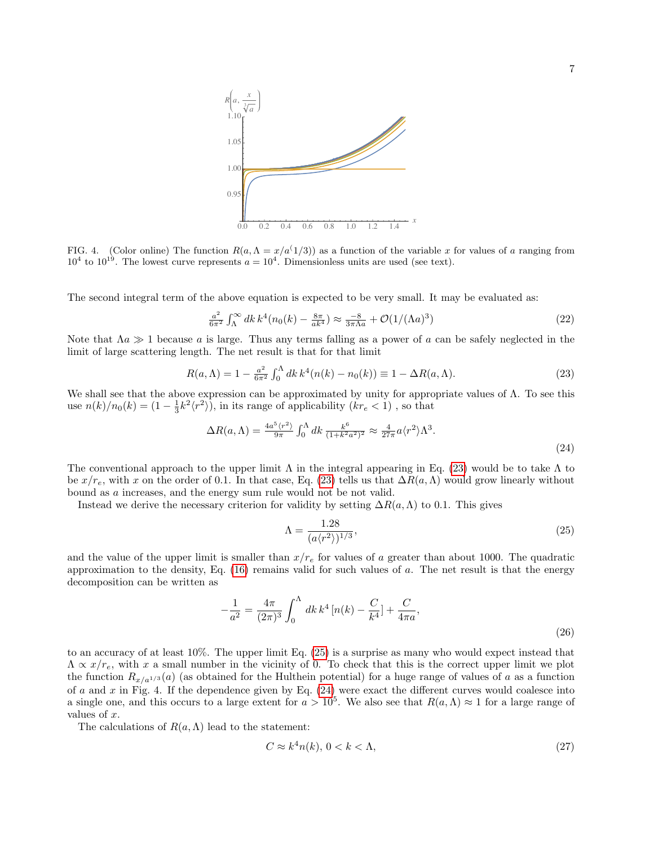

FIG. 4. (Color online) The function  $R(a, \Lambda = x/a^{T/3})$  as a function of the variable x for values of a ranging from  $10^4$  to  $10^{19}$ . The lowest curve represents  $a = 10^4$ . Dimensionless units are used (see text).

The second integral term of the above equation is expected to be very small. It may be evaluated as:

$$
\frac{a^2}{6\pi^2} \int_{\Lambda}^{\infty} dk \, k^4 (n_0(k) - \frac{8\pi}{ak^4}) \approx \frac{-8}{3\pi\Lambda a} + \mathcal{O}(1/(\Lambda a)^3)
$$
 (22)

Note that  $\Lambda a \gg 1$  because a is large. Thus any terms falling as a power of a can be safely neglected in the limit of large scattering length. The net result is that for that limit

<span id="page-6-0"></span>
$$
R(a,\Lambda) = 1 - \frac{a^2}{6\pi^2} \int_0^{\Lambda} dk \, k^4 (n(k) - n_0(k)) \equiv 1 - \Delta R(a,\Lambda). \tag{23}
$$

We shall see that the above expression can be approximated by unity for appropriate values of  $\Lambda$ . To see this use  $n(k)/n_0(k) = (1 - \frac{1}{3}k^2\langle r^2 \rangle)$ , in its range of applicability  $(kr_e < 1)$ , so that

<span id="page-6-2"></span>
$$
\Delta R(a,\Lambda) = \frac{4a^5 \langle r^2 \rangle}{9\pi} \int_0^\Lambda dk \, \frac{k^6}{(1+k^2 a^2)^2} \approx \frac{4}{27\pi} a \langle r^2 \rangle \Lambda^3. \tag{24}
$$

The conventional approach to the upper limit  $\Lambda$  in the integral appearing in Eq. [\(23\)](#page-6-0) would be to take  $\Lambda$  to be  $x/r_e$ , with x on the order of 0.1. In that case, Eq. [\(23\)](#page-6-0) tells us that  $\Delta R(a,\Lambda)$  would grow linearly without bound as a increases, and the energy sum rule would not be not valid.

Instead we derive the necessary criterion for validity by setting  $\Delta R(a,\Lambda)$  to 0.1. This gives

<span id="page-6-1"></span>
$$
\Lambda = \frac{1.28}{(a\langle r^2 \rangle)^{1/3}},\tag{25}
$$

and the value of the upper limit is smaller than  $x/r_e$  for values of a greater than about 1000. The quadratic approximation to the density, Eq.  $(16)$  remains valid for such values of a. The net result is that the energy decomposition can be written as

$$
-\frac{1}{a^2} = \frac{4\pi}{(2\pi)^3} \int_0^\Lambda dk \, k^4 \left[ n(k) - \frac{C}{k^4} \right] + \frac{C}{4\pi a},\tag{26}
$$

to an accuracy of at least 10%. The upper limit Eq. [\(25\)](#page-6-1) is a surprise as many who would expect instead that  $\Lambda \propto x/r_e$ , with x a small number in the vicinity of 0. To check that this is the correct upper limit we plot the function  $R_{x/a^{1/3}}(a)$  (as obtained for the Hulthein potential) for a huge range of values of a as a function of a and x in Fig. 4. If the dependence given by Eq.  $(24)$  were exact the different curves would coalesce into a single one, and this occurs to a large extent for  $a > 10^5$ . We also see that  $R(a,\Lambda) \approx 1$  for a large range of values of x.

The calculations of  $R(a,\Lambda)$  lead to the statement:

<span id="page-6-3"></span>
$$
C \approx k^4 n(k), \ 0 < k < \Lambda,\tag{27}
$$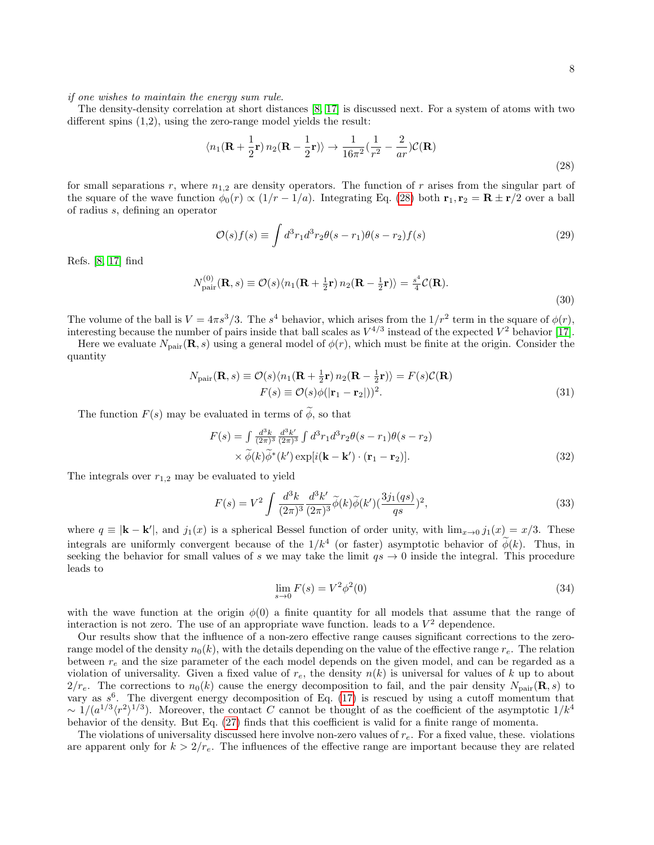if one wishes to maintain the energy sum rule.

The density-density correlation at short distances [\[8,](#page-8-7) [17\]](#page-8-12) is discussed next. For a system of atoms with two different spins (1,2), using the zero-range model yields the result:

<span id="page-7-0"></span>
$$
\langle n_1(\mathbf{R} + \frac{1}{2}\mathbf{r}) n_2(\mathbf{R} - \frac{1}{2}\mathbf{r}) \rangle \to \frac{1}{16\pi^2} (\frac{1}{r^2} - \frac{2}{ar}) \mathcal{C}(\mathbf{R})
$$
\n(28)

for small separations r, where  $n_{1,2}$  are density operators. The function of r arises from the singular part of the square of the wave function  $\phi_0(r) \propto (1/r - 1/a)$ . Integrating Eq. [\(28\)](#page-7-0) both  $\mathbf{r}_1, \mathbf{r}_2 = \mathbf{R} \pm \mathbf{r}/2$  over a ball of radius s, defining an operator

$$
\mathcal{O}(s)f(s) \equiv \int d^3r_1 d^3r_2 \theta(s-r_1)\theta(s-r_2)f(s) \tag{29}
$$

Refs. [\[8,](#page-8-7) [17\]](#page-8-12) find

$$
N_{\text{pair}}^{(0)}(\mathbf{R},s) \equiv \mathcal{O}(s) \langle n_1(\mathbf{R} + \frac{1}{2}\mathbf{r}) n_2(\mathbf{R} - \frac{1}{2}\mathbf{r}) \rangle = \frac{s^4}{4} \mathcal{C}(\mathbf{R}).
$$
\n(30)

The volume of the ball is  $V = 4\pi s^3/3$ . The  $s^4$  behavior, which arises from the  $1/r^2$  term in the square of  $\phi(r)$ , interesting because the number of pairs inside that ball scales as  $V^{4/3}$  instead of the expected  $V^2$  behavior [\[17\]](#page-8-12).

Here we evaluate  $N_{\text{pair}}(\mathbf{R}, s)$  using a general model of  $\phi(r)$ , which must be finite at the origin. Consider the quantity

$$
N_{\text{pair}}(\mathbf{R}, s) \equiv \mathcal{O}(s) \langle n_1(\mathbf{R} + \frac{1}{2}\mathbf{r}) n_2(\mathbf{R} - \frac{1}{2}\mathbf{r}) \rangle = F(s)\mathcal{C}(\mathbf{R})
$$
  

$$
F(s) \equiv \mathcal{O}(s)\phi(|\mathbf{r}_1 - \mathbf{r}_2|))^2.
$$
 (31)

The function  $F(s)$  may be evaluated in terms of  $\widetilde{\phi}$ , so that

$$
F(s) = \int \frac{d^3k}{(2\pi)^3} \frac{d^3k'}{(2\pi)^3} \int d^3r_1 d^3r_2 \theta(s - r_1) \theta(s - r_2)
$$
  
 
$$
\times \widetilde{\phi}(k) \widetilde{\phi}^*(k') \exp[i(\mathbf{k} - \mathbf{k}') \cdot (\mathbf{r}_1 - \mathbf{r}_2)].
$$
 (32)

The integrals over  $r_{1,2}$  may be evaluated to yield

$$
F(s) = V^2 \int \frac{d^3k}{(2\pi)^3} \frac{d^3k'}{(2\pi)^3} \tilde{\phi}(k) \tilde{\phi}(k') \left(\frac{3j_1(qs)}{qs}\right)^2, \tag{33}
$$

where  $q \equiv |\mathbf{k} - \mathbf{k}'|$ , and  $j_1(x)$  is a spherical Bessel function of order unity, with  $\lim_{x\to 0} j_1(x) = x/3$ . These integrals are uniformly convergent because of the  $1/k^4$  (or faster) asymptotic behavior of  $\phi(k)$ . Thus, in seeking the behavior for small values of s we may take the limit  $qs \to 0$  inside the integral. This procedure leads to

$$
\lim_{s \to 0} F(s) = V^2 \phi^2(0)
$$
\n(34)

with the wave function at the origin  $\phi(0)$  a finite quantity for all models that assume that the range of interaction is not zero. The use of an appropriate wave function. leads to a  $V^2$  dependence.

Our results show that the influence of a non-zero effective range causes significant corrections to the zerorange model of the density  $n_0(k)$ , with the details depending on the value of the effective range  $r_e$ . The relation between  $r_e$  and the size parameter of the each model depends on the given model, and can be regarded as a violation of universality. Given a fixed value of  $r_e$ , the density  $n(k)$  is universal for values of k up to about  $2/r_e$ . The corrections to  $n_0(k)$  cause the energy decomposition to fail, and the pair density  $N_{\text{pair}}(\mathbf{R}, s)$  to vary as  $s^6$ . The divergent energy decomposition of Eq. [\(17\)](#page-5-0) is rescued by using a cutoff momentum that  $\sim 1/(a^{1/3}\langle r^2\rangle^{1/3})$ . Moreover, the contact C cannot be thought of as the coefficient of the asymptotic  $1/k^4$ behavior of the density. But Eq. [\(27\)](#page-6-3) finds that this coefficient is valid for a finite range of momenta.

The violations of universality discussed here involve non-zero values of  $r_e$ . For a fixed value, these. violations are apparent only for  $k > 2/r_e$ . The influences of the effective range are important because they are related